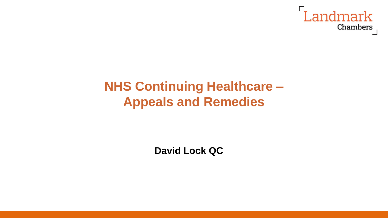

## **NHS Continuing Healthcare – Appeals and Remedies**

**David Lock QC**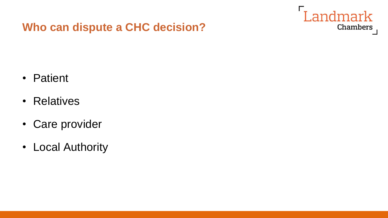

## **Who can dispute a CHC decision?**

- Patient
- Relatives
- Care provider
- Local Authority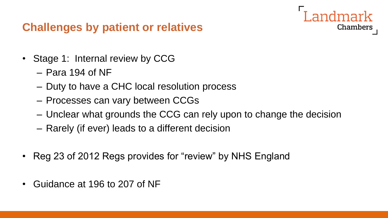## **Challenges by patient or relatives**

- Stage 1: Internal review by CCG
	- Para 194 of NF
	- Duty to have a CHC local resolution process
	- Processes can vary between CCGs
	- Unclear what grounds the CCG can rely upon to change the decision

Chambers

- Rarely (if ever) leads to a different decision
- Reg 23 of 2012 Regs provides for "review" by NHS England
- Guidance at 196 to 207 of NF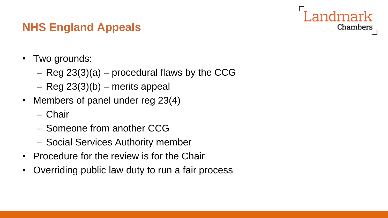# Chambers

## **NHS England Appeals**

- Two grounds:
	- Reg 23(3)(a) procedural flaws by the CCG
	- Reg 23(3)(b) merits appeal
- Members of panel under reg 23(4)
	- Chair
	- Someone from another CCG
	- Social Services Authority member
- Procedure for the review is for the Chair
- Overriding public law duty to run a fair process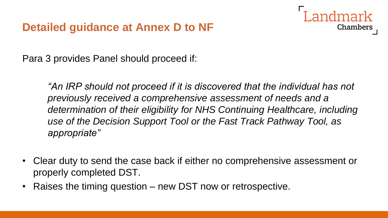

Para 3 provides Panel should proceed if:

*An IRP should not proceed if it is discovered that the individual has not previously received a comprehensive assessment of needs and a determination of their eligibility for NHS Continuing Healthcare, including use of the Decision Support Tool or the Fast Track Pathway Tool, as appropriate"* 

- Clear duty to send the case back if either no comprehensive assessment or properly completed DST.
- Raises the timing question new DST now or retrospective.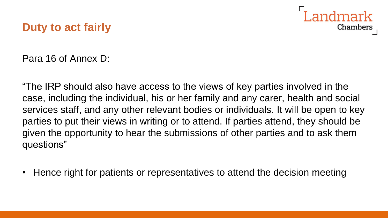

## **Duty to act fairly**

Para 16 of Annex D:

"The IRP should also have access to the views of key parties involved in the case, including the individual, his or her family and any carer, health and social services staff, and any other relevant bodies or individuals. It will be open to key parties to put their views in writing or to attend. If parties attend, they should be given the opportunity to hear the submissions of other parties and to ask them questions"

• Hence right for patients or representatives to attend the decision meeting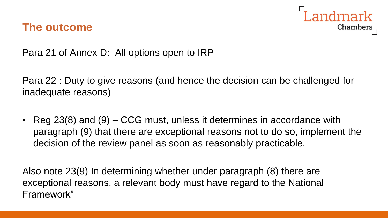

#### **The outcome**

Para 21 of Annex D: All options open to IRP

Para 22 : Duty to give reasons (and hence the decision can be challenged for inadequate reasons)

• Reg 23(8) and (9) – CCG must, unless it determines in accordance with paragraph (9) that there are exceptional reasons not to do so, implement the decision of the review panel as soon as reasonably practicable.

Also note 23(9) In determining whether under paragraph (8) there are exceptional reasons, a relevant body must have regard to the National Framework"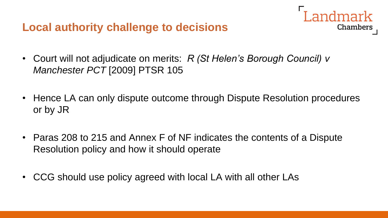**Local authority challenge to decisions**

- Court will not adjudicate on merits: *R (St Helen's Borough Council) v Manchester PCT* [2009] PTSR 105
- Hence LA can only dispute outcome through Dispute Resolution procedures or by JR

**Landmark** 

**Chambers** 

- Paras 208 to 215 and Annex F of NF indicates the contents of a Dispute Resolution policy and how it should operate
- CCG should use policy agreed with local LA with all other LAs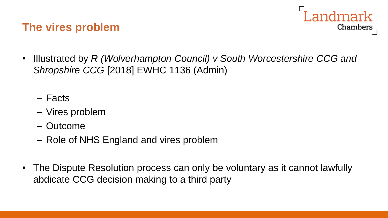## **The vires problem**



- Illustrated by *R (Wolverhampton Council) v South Worcestershire CCG and Shropshire CCG* [2018] EWHC 1136 (Admin)
	- Facts
	- Vires problem
	- Outcome
	- Role of NHS England and vires problem
- The Dispute Resolution process can only be voluntary as it cannot lawfully abdicate CCG decision making to a third party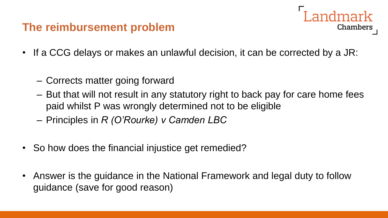## **The reimbursement problem**



- If a CCG delays or makes an unlawful decision, it can be corrected by a JR:
	- Corrects matter going forward
	- But that will not result in any statutory right to back pay for care home fees paid whilst P was wrongly determined not to be eligible
	- Principles in *R (O'Rourke) v Camden LBC*
- So how does the financial injustice get remedied?
- Answer is the guidance in the National Framework and legal duty to follow guidance (save for good reason)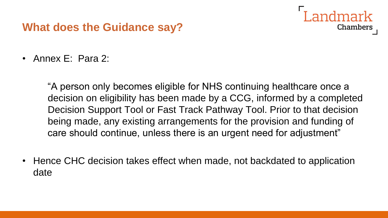## **What does the Guidance say?**

• Annex E: Para 2:

"A person only becomes eligible for NHS continuing healthcare once a decision on eligibility has been made by a CCG, informed by a completed Decision Support Tool or Fast Track Pathway Tool. Prior to that decision being made, any existing arrangements for the provision and funding of care should continue, unless there is an urgent need for adjustment"

Chambers

• Hence CHC decision takes effect when made, not backdated to application date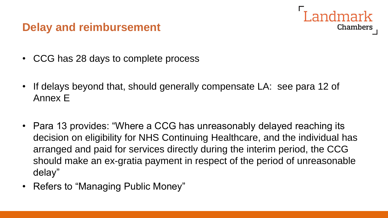## **Delay and reimbursement**

- CCG has 28 days to complete process
- If delays beyond that, should generally compensate LA: see para 12 of Annex E

Chambers

- Para 13 provides: "Where a CCG has unreasonably delayed reaching its decision on eligibility for NHS Continuing Healthcare, and the individual has arranged and paid for services directly during the interim period, the CCG should make an ex-gratia payment in respect of the period of unreasonable delay"
- Refers to "Managing Public Money"